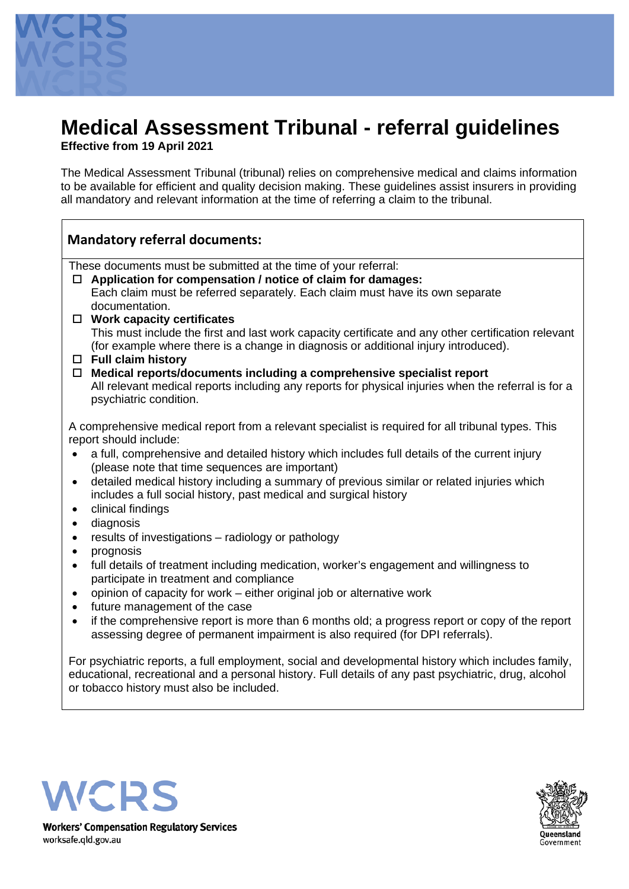

# **Medical Assessment Tribunal - referral guidelines**

**Effective from 19 April 2021**

The Medical Assessment Tribunal (tribunal) relies on comprehensive medical and claims information to be available for efficient and quality decision making. These guidelines assist insurers in providing all mandatory and relevant information at the time of referring a claim to the tribunal.

## **Mandatory referral documents:**

These documents must be submitted at the time of your referral:

- **Application for compensation / notice of claim for damages:**  Each claim must be referred separately. Each claim must have its own separate documentation.
- **Work capacity certificates** This must include the first and last work capacity certificate and any other certification relevant (for example where there is a change in diagnosis or additional injury introduced).
- **Full claim history**
- **Medical reports/documents including a comprehensive specialist report** All relevant medical reports including any reports for physical injuries when the referral is for a psychiatric condition.

A comprehensive medical report from a relevant specialist is required for all tribunal types. This report should include:

- a full, comprehensive and detailed history which includes full details of the current injury (please note that time sequences are important)
- detailed medical history including a summary of previous similar or related injuries which includes a full social history, past medical and surgical history
- clinical findings
- diagnosis
- results of investigations radiology or pathology
- prognosis
- full details of treatment including medication, worker's engagement and willingness to participate in treatment and compliance
- opinion of capacity for work either original job or alternative work
- future management of the case
- if the comprehensive report is more than 6 months old; a progress report or copy of the report assessing degree of permanent impairment is also required (for DPI referrals).

For psychiatric reports, a full employment, social and developmental history which includes family, educational, recreational and a personal history. Full details of any past psychiatric, drug, alcohol or tobacco history must also be included.





**Workers' Compensation Regulatory Services** worksafe.gld.gov.au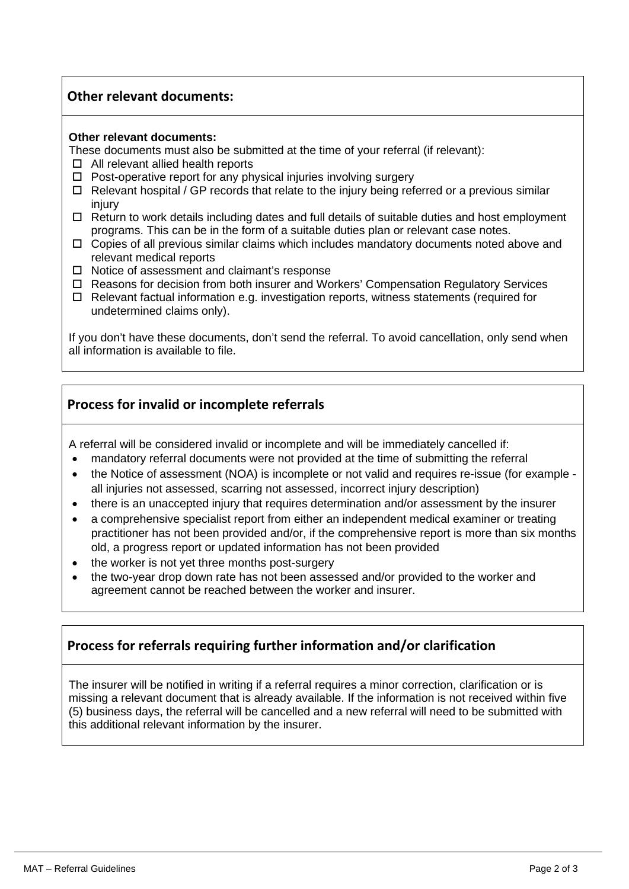## **Other relevant documents:**

#### **Other relevant documents:**

These documents must also be submitted at the time of your referral (if relevant):

- □ All relevant allied health reports
- $\Box$  Post-operative report for any physical injuries involving surgery
- $\Box$  Relevant hospital / GP records that relate to the injury being referred or a previous similar injury
- $\Box$  Return to work details including dates and full details of suitable duties and host employment programs. This can be in the form of a suitable duties plan or relevant case notes.
- $\Box$  Copies of all previous similar claims which includes mandatory documents noted above and relevant medical reports
- $\Box$  Notice of assessment and claimant's response
- Reasons for decision from both insurer and Workers' Compensation Regulatory Services
- $\Box$  Relevant factual information e.g. investigation reports, witness statements (required for undetermined claims only).

If you don't have these documents, don't send the referral. To avoid cancellation, only send when all information is available to file.

### **Process for invalid or incomplete referrals**

A referral will be considered invalid or incomplete and will be immediately cancelled if:

- mandatory referral documents were not provided at the time of submitting the referral
- the Notice of assessment (NOA) is incomplete or not valid and requires re-issue (for example all injuries not assessed, scarring not assessed, incorrect injury description)
- there is an unaccepted injury that requires determination and/or assessment by the insurer
- a comprehensive specialist report from either an independent medical examiner or treating practitioner has not been provided and/or, if the comprehensive report is more than six months old, a progress report or updated information has not been provided
- the worker is not yet three months post-surgery
- the two-year drop down rate has not been assessed and/or provided to the worker and agreement cannot be reached between the worker and insurer.

## **Process for referrals requiring further information and/or clarification**

The insurer will be notified in writing if a referral requires a minor correction, clarification or is missing a relevant document that is already available. If the information is not received within five (5) business days, the referral will be cancelled and a new referral will need to be submitted with this additional relevant information by the insurer.